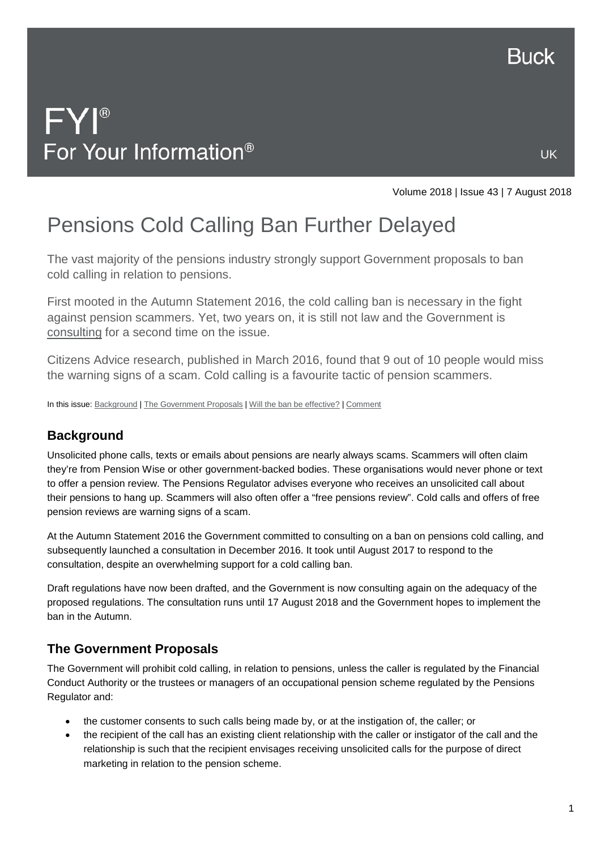

UK

# $FY^{\circ}$ For Your Information<sup>®</sup>

Volume 2018 | Issue 43 | 7 August 2018

# Pensions Cold Calling Ban Further Delayed

The vast majority of the pensions industry strongly support Government proposals to ban cold calling in relation to pensions.

First mooted in the Autumn Statement 2016, the cold calling ban is necessary in the fight against pension scammers. Yet, two years on, it is still not law and the Government is [consulting](https://www.gov.uk/government/consultations/ban-on-cold-calling-in-relation-to-pensions/ban-on-cold-calling-in-relation-to-pensions-consultation-on-regulations) for a second time on the issue.

Citizens Advice research, published in March 2016, found that 9 out of 10 people would miss the warning signs of a scam. Cold calling is a favourite tactic of pension scammers.

In this issue[: Background](#page-0-0) [| The Government Proposals](#page-0-1) | [Will the ban be effective?](#page-1-0) | [Comment](#page-1-1)

## <span id="page-0-0"></span>**Background**

Unsolicited phone calls, texts or emails about pensions are nearly always scams. Scammers will often claim they're from Pension Wise or other government-backed bodies. These organisations would never phone or text to offer a pension review. The Pensions Regulator advises everyone who receives an unsolicited call about their pensions to hang up. Scammers will also often offer a "free pensions review". Cold calls and offers of free pension reviews are warning signs of a scam.

At the Autumn Statement 2016 the Government committed to consulting on a ban on pensions cold calling, and subsequently launched a consultation in December 2016. It took until August 2017 to respond to the consultation, despite an overwhelming support for a cold calling ban.

Draft regulations have now been drafted, and the Government is now consulting again on the adequacy of the proposed regulations. The consultation runs until 17 August 2018 and the Government hopes to implement the ban in the Autumn.

## <span id="page-0-1"></span>**The Government Proposals**

The Government will prohibit cold calling, in relation to pensions, unless the caller is regulated by the Financial Conduct Authority or the trustees or managers of an occupational pension scheme regulated by the Pensions Regulator and:

- the customer consents to such calls being made by, or at the instigation of, the caller; or
- the recipient of the call has an existing client relationship with the caller or instigator of the call and the relationship is such that the recipient envisages receiving unsolicited calls for the purpose of direct marketing in relation to the pension scheme.